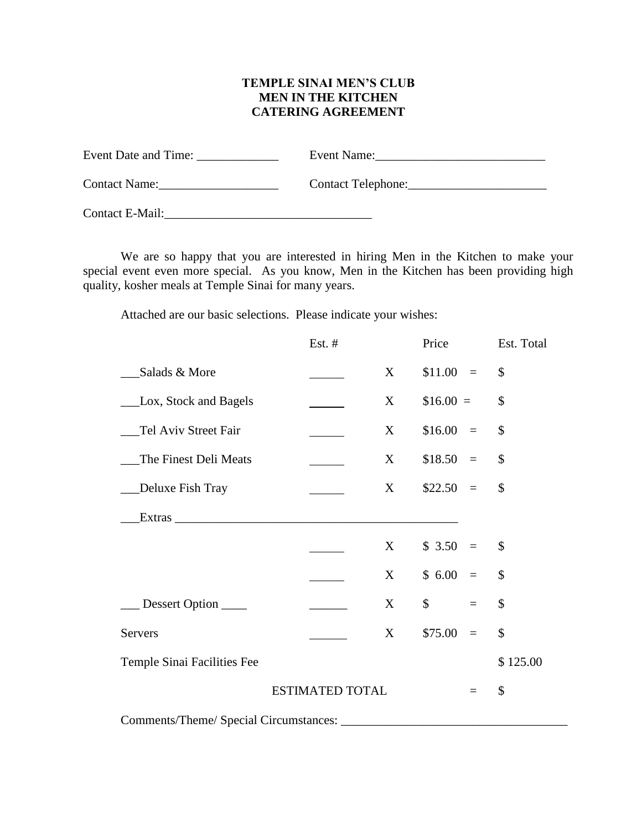#### **TEMPLE SINAI MEN'S CLUB MEN IN THE KITCHEN CATERING AGREEMENT**

| Event Date and Time: | Event Name:        |
|----------------------|--------------------|
| <b>Contact Name:</b> | Contact Telephone: |
| Contact E-Mail:      |                    |

We are so happy that you are interested in hiring Men in the Kitchen to make your special event even more special. As you know, Men in the Kitchen has been providing high quality, kosher meals at Temple Sinai for many years.

Attached are our basic selections. Please indicate your wishes:

|                               | Est. $#$ |                   | Price                | Est. Total                |
|-------------------------------|----------|-------------------|----------------------|---------------------------|
| Salads & More                 |          | X                 | $$11.00 =$           | $\mathcal{S}$             |
| Lox, Stock and Bagels         |          | X                 | $$16.00 =$           | \$                        |
| Tel Aviv Street Fair          |          | X                 | $$16.00 =$           | $\mathcal{S}$             |
| The Finest Deli Meats         |          | $X_{\mathcal{I}}$ | $$18.50 =$           | $\mathcal{S}$             |
| Deluxe Fish Tray              |          | X                 | $$22.50 =$           | $\mathcal{S}$             |
| Extras                        |          |                   |                      |                           |
|                               |          | $X_{-}$           | $$3.50 =$            | $\boldsymbol{\mathsf{S}}$ |
|                               |          | X                 | $$6.00 =$            | \$                        |
| Dessert Option                |          | X                 | $\mathcal{S}$<br>$=$ | \$                        |
| Servers                       |          | X                 | \$75.00<br>$\equiv$  | \$                        |
| Temple Sinai Facilities Fee   |          |                   |                      | \$125.00                  |
| <b>ESTIMATED TOTAL</b><br>$=$ |          |                   |                      | \$                        |
|                               |          |                   |                      |                           |

Comments/Theme/ Special Circumstances: \_\_\_\_\_\_\_\_\_\_\_\_\_\_\_\_\_\_\_\_\_\_\_\_\_\_\_\_\_\_\_\_\_\_\_\_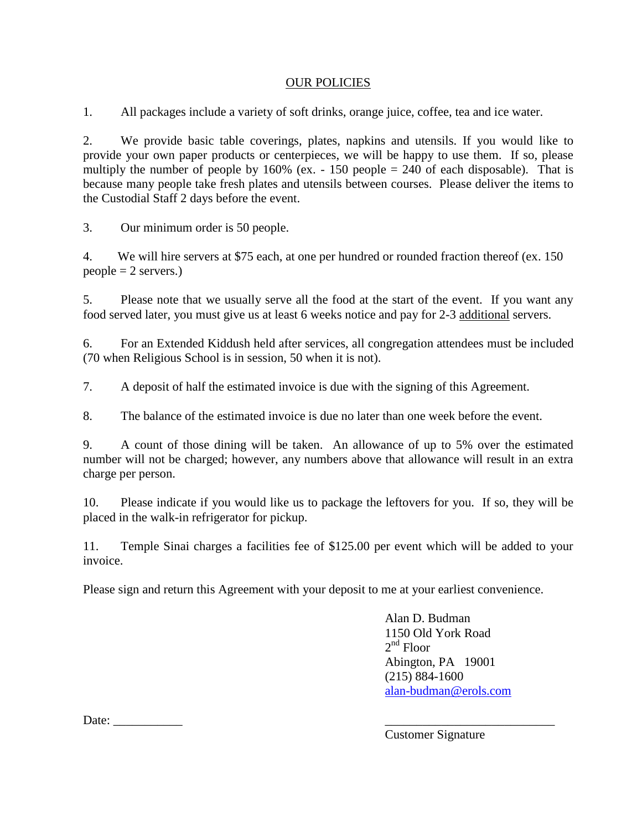#### OUR POLICIES

1. All packages include a variety of soft drinks, orange juice, coffee, tea and ice water.

2. We provide basic table coverings, plates, napkins and utensils. If you would like to provide your own paper products or centerpieces, we will be happy to use them. If so, please multiply the number of people by  $160\%$  (ex. - 150 people = 240 of each disposable). That is because many people take fresh plates and utensils between courses. Please deliver the items to the Custodial Staff 2 days before the event.

3. Our minimum order is 50 people.

4. We will hire servers at \$75 each, at one per hundred or rounded fraction thereof (ex. 150  $people = 2$  servers.)

5. Please note that we usually serve all the food at the start of the event. If you want any food served later, you must give us at least 6 weeks notice and pay for 2-3 additional servers.

6. For an Extended Kiddush held after services, all congregation attendees must be included (70 when Religious School is in session, 50 when it is not).

7. A deposit of half the estimated invoice is due with the signing of this Agreement.

8. The balance of the estimated invoice is due no later than one week before the event.

9. A count of those dining will be taken. An allowance of up to 5% over the estimated number will not be charged; however, any numbers above that allowance will result in an extra charge per person.

10. Please indicate if you would like us to package the leftovers for you. If so, they will be placed in the walk-in refrigerator for pickup.

11. Temple Sinai charges a facilities fee of \$125.00 per event which will be added to your invoice.

Please sign and return this Agreement with your deposit to me at your earliest convenience.

Alan D. Budman 1150 Old York Road 2<sup>nd</sup> Floor Abington, PA 19001 (215) 884-1600 [alan-budman@erols.com](mailto:alan-budman@erols.com)

Date: \_\_\_\_\_\_\_\_\_\_\_ \_\_\_\_\_\_\_\_\_\_\_\_\_\_\_\_\_\_\_\_\_\_\_\_\_\_\_

Customer Signature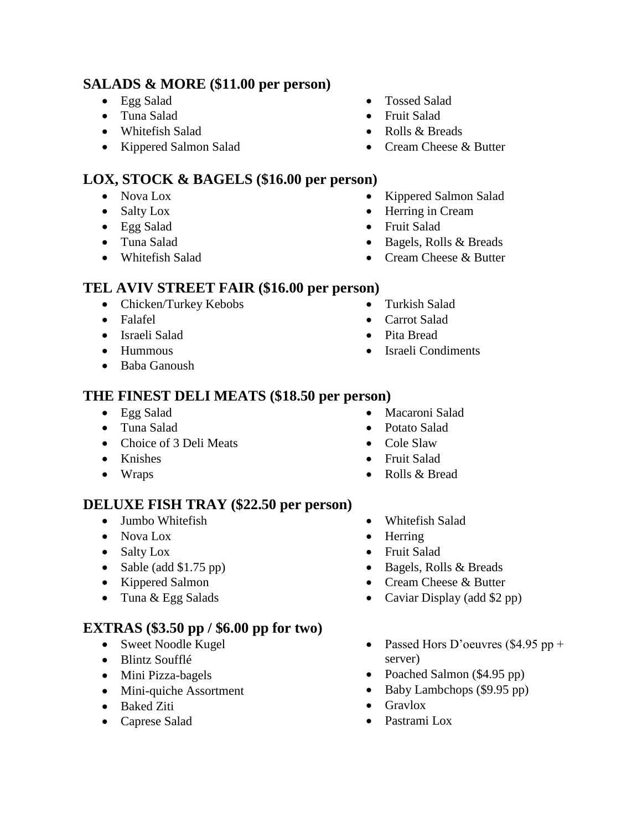### **SALADS & MORE (\$11.00 per person)**

- Egg Salad
- Tuna Salad
- Whitefish Salad
- Kippered Salmon Salad

# **LOX, STOCK & BAGELS (\$16.00 per person)**

- Nova Lox
- Salty Lox
- Egg Salad
- Tuna Salad
- Whitefish Salad
- Tossed Salad
- Fruit Salad
- Rolls & Breads
- Cream Cheese & Butter
- Kippered Salmon Salad
- Herring in Cream
- Fruit Salad

 Turkish Salad Carrot Salad Pita Bread

- Bagels, Rolls & Breads
- Cream Cheese & Butter

### **TEL AVIV STREET FAIR (\$16.00 per person)**

- Chicken/Turkey Kebobs
- Falafel
- Israeli Salad
- Hummous
- Baba Ganoush

# **THE FINEST DELI MEATS (\$18.50 per person)**

- Egg Salad
- Tuna Salad
- Choice of 3 Deli Meats
- Knishes
- Wraps

# **DELUXE FISH TRAY (\$22.50 per person)**

- Jumbo Whitefish
- Nova Lox
- Salty Lox
- Sable (add  $$1.75$  pp)
- Kippered Salmon
- Tuna & Egg Salads

# **EXTRAS (\$3.50 pp / \$6.00 pp for two)**

- Sweet Noodle Kugel
- Blintz Soufflé
- Mini Pizza-bagels
- Mini-quiche Assortment
- Baked Ziti
- Caprese Salad

Macaroni Salad

• Israeli Condiments

- Potato Salad
- Cole Slaw
- Fruit Salad
- Rolls & Bread
- Whitefish Salad
- Herring
- Fruit Salad
- Bagels, Rolls & Breads
- Cream Cheese & Butter
- Caviar Display (add \$2 pp)
- Passed Hors D'oeuvres (\$4.95 pp + server)
- Poached Salmon (\$4.95 pp)
- Baby Lambchops (\$9.95 pp)
- Gravlox
- Pastrami Lox